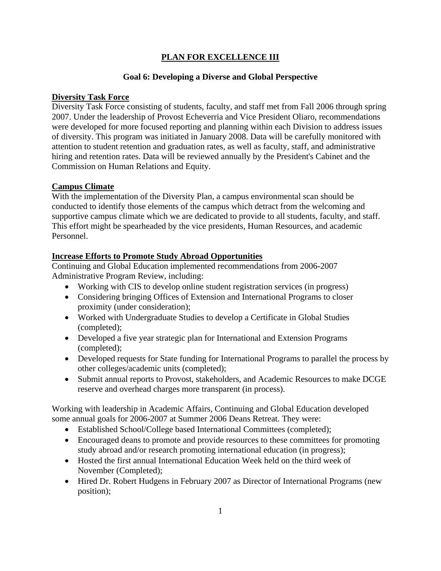## **PLAN FOR EXCELLENCE III**

## **Goal 6: Developing a Diverse and Global Perspective**

## **Diversity Task Force**

Diversity Task Force consisting of students, faculty, and staff met from Fall 2006 through spring 2007. Under the leadership of Provost Echeverria and Vice President Oliaro, recommendations were developed for more focused reporting and planning within each Division to address issues of diversity. This program was initiated in January 2008. Data will be carefully monitored with attention to student retention and graduation rates, as well as faculty, staff, and administrative hiring and retention rates. Data will be reviewed annually by the President's Cabinet and the Commission on Human Relations and Equity.

## **Campus Climate**

With the implementation of the Diversity Plan, a campus environmental scan should be conducted to identify those elements of the campus which detract from the welcoming and supportive campus climate which we are dedicated to provide to all students, faculty, and staff. This effort might be spearheaded by the vice presidents, Human Resources, and academic Personnel.

### **Increase Efforts to Promote Study Abroad Opportunities**

Continuing and Global Education implemented recommendations from 2006-2007 Administrative Program Review, including:

- Working with CIS to develop online student registration services (in progress)
- Considering bringing Offices of Extension and International Programs to closer proximity (under consideration);
- Worked with Undergraduate Studies to develop a Certificate in Global Studies (completed);
- Developed a five year strategic plan for International and Extension Programs (completed);
- Developed requests for State funding for International Programs to parallel the process by other colleges/academic units (completed);
- Submit annual reports to Provost, stakeholders, and Academic Resources to make DCGE reserve and overhead charges more transparent (in process).

Working with leadership in Academic Affairs, Continuing and Global Education developed some annual goals for 2006-2007 at Summer 2006 Deans Retreat. They were:

- Established School/College based International Committees (completed);
- Encouraged deans to promote and provide resources to these committees for promoting study abroad and/or research promoting international education (in progress);
- Hosted the first annual International Education Week held on the third week of November (Completed);
- Hired Dr. Robert Hudgens in February 2007 as Director of International Programs (new position);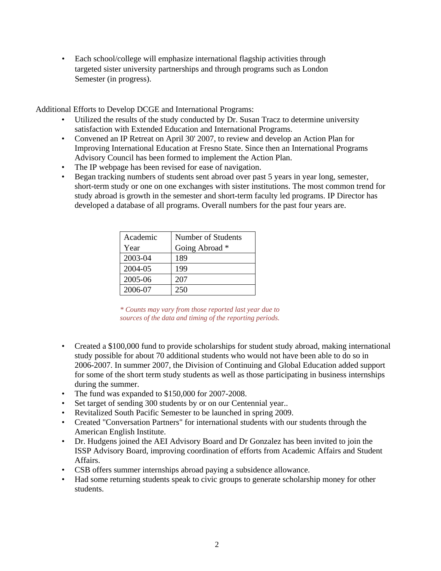• Each school/college will emphasize international flagship activities through targeted sister university partnerships and through programs such as London Semester (in progress).

Additional Efforts to Develop DCGE and International Programs:

- Utilized the results of the study conducted by Dr. Susan Tracz to determine university satisfaction with Extended Education and International Programs.
- Convened an IP Retreat on April 30' 2007, to review and develop an Action Plan for Improving International Education at Fresno State. Since then an International Programs Advisory Council has been formed to implement the Action Plan.
- The IP webpage has been revised for ease of navigation.
- Began tracking numbers of students sent abroad over past 5 years in year long, semester, short-term study or one on one exchanges with sister institutions. The most common trend for study abroad is growth in the semester and short-term faculty led programs. IP Director has developed a database of all programs. Overall numbers for the past four years are.

| Academic | Number of Students |
|----------|--------------------|
| Year     | Going Abroad *     |
| 2003-04  | 189                |
| 2004-05  | 199                |
| 2005-06  | 207                |
| 2006-07  | 250                |

*\* Counts may vary from those reported last year due to sources of the data and timing of the reporting periods.* 

- Created a \$100,000 fund to provide scholarships for student study abroad, making international study possible for about 70 additional students who would not have been able to do so in 2006-2007. In summer 2007, the Division of Continuing and Global Education added support for some of the short term study students as well as those participating in business internships during the summer.
- The fund was expanded to \$150,000 for 2007-2008.
- Set target of sending 300 students by or on our Centennial year...
- Revitalized South Pacific Semester to be launched in spring 2009.
- Created "Conversation Partners" for international students with our students through the American English Institute.
- Dr. Hudgens joined the AEI Advisory Board and Dr Gonzalez has been invited to join the ISSP Advisory Board, improving coordination of efforts from Academic Affairs and Student Affairs.
- CSB offers summer internships abroad paying a subsidence allowance.
- Had some returning students speak to civic groups to generate scholarship money for other students.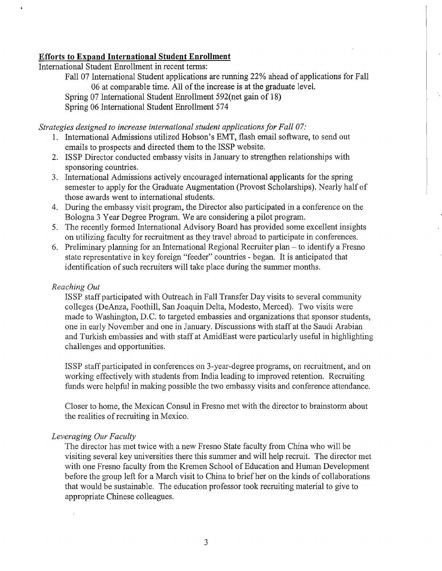### Efforts to Expand International Student Enrollment

International Student Enrollment in recent terms:

Fall 07 International Student applications are running 22% ahead of applications for Fall 06 at comparable time. All of the increase is at the graduate level. Spring 07 International Student Enrollment 592(net gain of 18) Spring 06 International Student Enrollment 574

*Strategies designed to increase international student applicationsfor Fall 07:*

- 1. International Admissions utilized Hobson's EMT, flash email software, to send out emails to prospects and directed them to the ISSP website.
- 2. ISSP Director conducted embassy visits in January to strengthen relationships with sponsoring countries.
- 3. International Admissions actively encouraged international applicants for the spring semester to apply for the Graduate Augmentation (Provost Scholarships). Nearly half of those awards went to international students.
- 4. During the embassy visit program, the Director also participated in a conference on the Bologna 3 Year Degree Program. We are considering a pilot program.
- 5. The recently formed International Advisory Board has provided some excellent insights on utilizing faculty for recruitment as they travel abroad to participate in conferences.
- 6. Preliminary planning for an International Regional Recruiter plan to identify a Fresno state representative in key foreign "feeder" countries - began. It is anticipated that identification of such recruiters will take place during the summer months.

### *Reaching Out*

 $\mathbf{r}$ 

ISSP staff participated with Outreach in Fall Transfer Day visits to several community colleges (DeAnza, Foothill, San Joaquin Delta, Modesto, Merced). Two visits were made to Washington, D.C. to targeted embassies and organizations that sponsor students, one in early November and one in January. Discussions with staff at the Saudi Arabian and Turkish embassies and with staff at AmidEast were particularly useful in highlighting challenges and opportunities.

ISSP staff participated in conferences on 3-year-degree programs, on recruitment, and on working effectively with students from India leading to improved retention. Recruiting funds were helpful in making possible the two embassy visits and conference attendance.

Closer to home, the Mexican Consul in Fresno met with the director to brainstorm about the realities of recruiting in Mexico.

### *Leveraging Our Faculty*

The director has met twice with a new Fresno State faculty from China who will be visiting several key universities there this summer and will help recruit. The director met with one Fresno faculty from the Kremen School of Education and Human Development before the group left for a March visit to China to brief her on the kinds of collaborations that would be sustainable. The education professor took recruiting material to give to appropriate Chinese colleagues.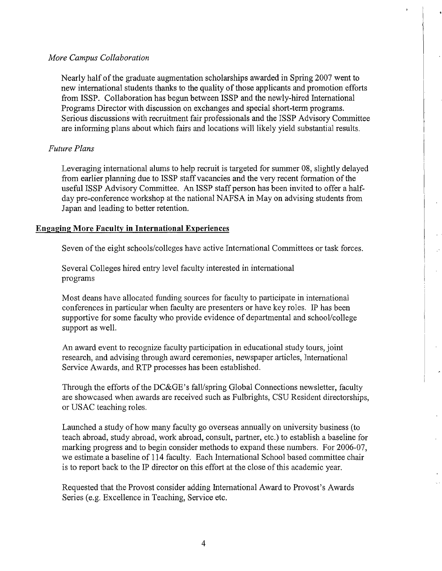### *More Campus Collaboration*

Nearly half ofthe graduate augmentation scholarships awarded in Spring 2007 went to new international students thanks to the quality of those applicants and promotion efforts from ISSP. Collaboration has begun between ISSP and the newly-hired International Programs Director with discussion on exchanges and special short-term programs. Serious discussions with recruitment fair professionals and the ISSP Advisory Committee are informing plans about which fairs and locations will likely yield substantial results.

### *Future Plans*

Leveraging international alums to help recruit is targeted for summer 08, slightly delayed from earlier planning due to ISSP staff vacancies and the very recent formation of the useful ISSP Advisory Committee. An ISSP staff person has been invited to offer a halfday pre-conference workshop at the national NAFSA in May on advising students from Japan and leading to better retention.

### **Engaging More Faculty in International Experiences**

Seven of the eight schools/colleges have active International Committees or task forces.

Several Colleges hired entry level faculty interested in international programs

Most deans have allocated funding sources for faculty to participate in international conferences in particular when faculty are presenters or have key roles. IP has been supportive for some faculty who provide evidence of departmental and school/college support as well.

An award event to recognize faculty participation in educational study tours, joint research, and advising through award ceremonies, newspaper articles, International Service Awards, and RTP processes has been established.

Through the efforts of the DC&GE's fall/spring Global Connections newsletter, faculty are showcased when awards are received such as Fulbrights, CSU Resident directorships, or USAC teaching roles.

Launched a study of how many faculty go overseas annually on university business (to teach abroad, study abroad, work abroad, consult, partner, etc.) to establish a baseline for marking progress and to begin consider methods to expand these numbers. For 2006-07, we estimate a baseline of 114 faculty. Each International School based committee chair is to report back to the IP director on this effort at the close of this academic year.

Requested that the Provost consider adding International Award to Provost's Awards Series (e.g. Excellence in Teaching, Service etc.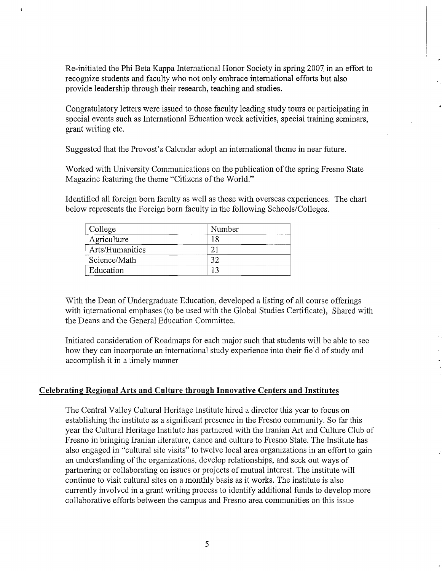Re-initiated the Phi Beta Kappa International Honor Society in spring 2007 in an effort to recognize students and faculty who not only embrace international efforts but also provide leadership through their research, teaching and studies.

Congratulatory letters were issued to those faculty leading study tours or participating in special events such as International Education week activities, special training seminars, grant writing etc.

Suggested that the Provost's Calendar adopt an international theme in near future.

Worked with University Communications on the publication of the spring Fresno State Magazine featuring the theme "Citizens of the World."

Identified all foreign born faculty as well as those with overseas experiences. The chart below represents the Foreign born faculty in the following Schools/Colleges.

| College         | Number |
|-----------------|--------|
| Agriculture     |        |
| Arts/Humanities | ◠      |
| Science/Math    | $2^r$  |
| Education       |        |

With the Dean of Undergraduate Education, developed a listing of all course offerings with international emphases (to be used with the Global Studies Certificate), Shared with the Deans and the General Education Committee.

Initiated consideration of Roadmaps for each major such that students will be able to see how they can incorporate an international study experience into their field of study and accomplish it in a timely manner

### **Celebrating Regional Arts and Culture through Innovative Centers and Institutes**

The Central Valley Cultural Heritage Institute hired a director this year to focus on establishing the institute as a significant presence in the Fresno community. So far this year the Cultural Heritage Institute has partnered with the Iranian Art and Culture Club of Fresno in bringing Iranian literature, dance and culture to Fresno State. The Institute has also engaged in "cultural site visits" to twelve local area organizations in an effort to gain an understanding of the organizations, develop relationships, and seek out ways of partnering or collaborating on issues or projects of mutual interest. The institute will continue to visit cultural sites on a monthly basis as it works. The institute is also currently involved in a grant writing process to identify additional funds to develop more collaborative efforts between the campus and Fresno area communities on this issue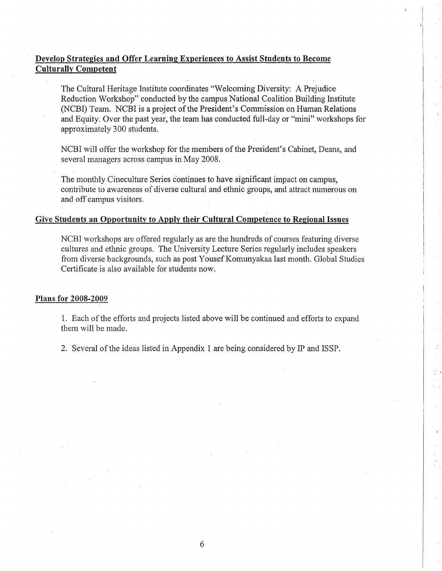# **Develop Strategies and Offer Learning Experiences to Assist Students to Become Culturally Competent**

I

, ,

> I I I

The Cultural Heritage Institute coordinates "Welcoming Diversity: A Prejudice Reduction Workshop" conducted by the campus National Coalition Building Institute (NCBI) Team. NCBI is a project of the President's Commission on Human Relations and Equity. Over the past year, the team has conducted full-day or "mini" workshops for approximately 300 students.

NCBI will offer the workshop for the members of the President's Cabinet, Deans, and several managers across campus in May 2008.

1. Each of the efforts and projects listed above will be continued and efforts to expand them will be made.

2. Several of the ideas listed in Appendix 1 are being considered by IP and ISSP.

The monthly Cineculture Series continues to have significant impact on campus, contribute to awareness of diverse cultural and ethnic groups, and attract numerous on and off campus visitors.

# **Give Students an Opportunity to Apply their Cultural Competence to Regional Issues**

I  $\vdots$ 

> $\ddot{\ddot{\ }}$ I

NCBI workshops are offered regularly as are the hundreds of courses featuring diverse cultures and ethnic groups. The University Lecture Series regularly includes speakers from diverse backgrounds, such as post YousefKomunyakaa last month. Global Studies Certificate is also available for students now.

**Plans for 2008-2009**

I

I

, ,

i

I

I

•

• •

•

6

, .

•

· ,

·.

•

|<br>|<br>|

 $\begin{array}{c}\n\hline\n\end{array}$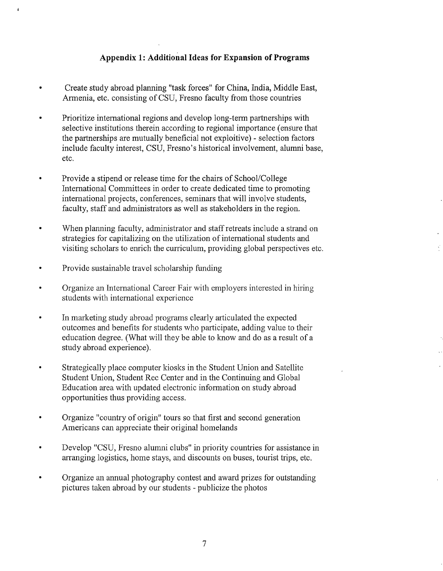## **Appendix 1: Additional Ideas for Expansion of Programs**

- Create study abroad planning "task forces" for China, India, Middle East, Armenia, etc. consisting of CSU, Fresno faculty from those countries
- Prioritize international regions and develop long-term partnerships with selective institutions therein according to regional importance (ensure that the partnerships are mutually beneficial not exploitive) - selection factors include faculty interest, CSU, Fresno's historical involvement, alumni base, etc.
- Provide a stipend or release time for the chairs of School/College International Committees in order to create dedicated time to promoting international projects, conferences, seminars that will involve students, faculty, staff and administrators as well as stakeholders in the region.
- When planning faculty, administrator and staff retreats include a strand on strategies for capitalizing on the utilization of international students and visiting scholars to enrich the curriculum, providing global perspectives etc.
- Provide sustainable travel scholarship funding
- Organize an International Career Fair with employers interested in hiring students with international experience
- In marketing study abroad programs clearly articulated the expected outcomes and benefits for students who participate, adding value to their education degree. (What will they be able to know and do as a result of a study abroad experience).
- Strategically place computer kiosks in the Student Union and Satellite Student Union, Student Rec Center and in the Continuing and Global Education area with updated electronic information on study abroad opportunities thus providing access.
- Organize "country of origin" tours so that first and second generation Americans can appreciate their original homelands
- Develop "CSU, Fresno alumni clubs" in priority countries for assistance in arranging logistics, home stays, and discounts on buses, tourist trips, etc.
- Organize an annual photography contest and award prizes for outstanding pictures taken abroad by our students - publicize the photos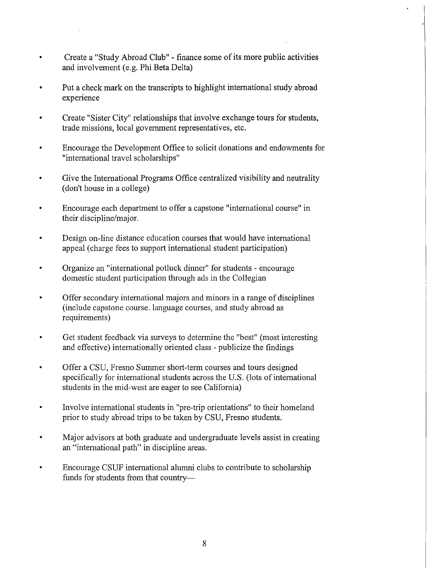- Create a "Study Abroad Club" finance some of its more public activities and involvement (e.g. Phi Beta Delta)
- Put a check mark on the transcripts to highlight international study abroad experience
- Create "Sister City'! relationships that involve exchange tours for students, trade missions, local government representatives, etc.
- Encourage the Development Office to solicit donations and endowments for "international travel scholarships"
- Give the International Programs Office centralized visibility and neutrality (don't house in a college)
- Encourage each department to offer a capstone "international course" in their discipline/major.
- Design on-line distance education courses that would have international appeal (charge fees to support international student participation)
- Organize an "international potluck dinner" for students encourage domestic student participation through ads in the Collegian
- Offer secondary international majors and minors in a range of disciplines (include capstone course. language courses, and study abroad as requirements)
- Get student feedback via surveys to determine the "best" (most interesting and effective) internationally oriented class - publicize the findings
- Offer a CSU, Fresno Summer short-term courses and tours designed specifically for international students across the U.S. (lots of international students in the mid-west are eager to see California)
- Involve international students in "pre-trip orientations" to their homeland prior to study ahroad trips to be taken by CSU, Fresno students.
- Major advisors at both graduate and undergraduate levels assist in creating an "international path" in discipline areas.
- Encourage CSUF international alumni clubs to contribute to scholarship funds for students from that country-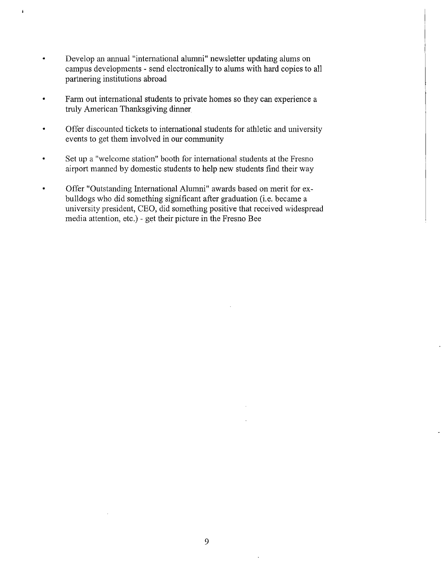• Develop an annual "international alumni" newsletter updating alums on campus developments - send electronically to alums with hard copies to all partnering institutions abroad

 $\overline{1}$ 

- Farm out international students to private homes so they can experience a truly American Thanksgiving dinner
- Offer discounted tickets to international students for athletic and university events to get them involved in our community
- Set up a "welcome station" booth for international students at the Fresno airport manned by domestic students to help new students find their way
- Offer "Outstanding International Alumni" awards based on merit for exbulldogs who did something significant after graduation (i.e. became a university president, CEO, did something positive that received widespread media attention, etc.) - get their picture in the Fresno Bee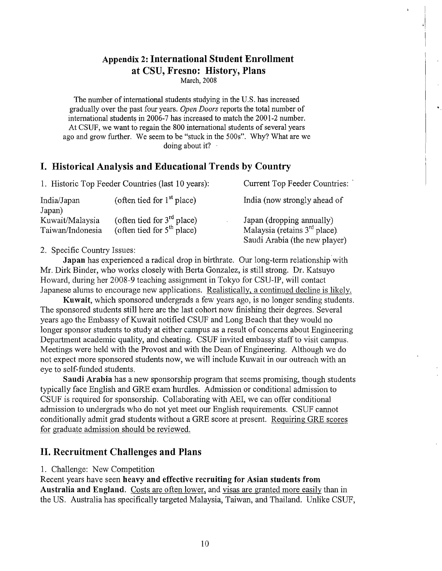## **Appendix 2: International Student Enrollment at CSU, Fresno: History, Plans**

March,2008

..

The number of international students studying in the U.S. has increased gradually over the past four years. *Open Doors* reports the total number of international students in 2006-7 has increased to match the 2001-2 number. At CSUF, we want to regain the 800 international students of several years ago and grow further. We seem to be "stuck in the 500s". Why? What are we doing about it?

## **I. Historical Analysis and Educational Trends by Country**

| 1. Historic Top Feeder Countries (last 10 years): |                                                              | Current Top Feeder Countries:                                                                 |
|---------------------------------------------------|--------------------------------------------------------------|-----------------------------------------------------------------------------------------------|
| India/Japan<br>Japan)                             | (often tied for $1st$ place)                                 | India (now strongly ahead of                                                                  |
| Kuwait/Malaysia<br>Taiwan/Indonesia               | (often tied for $3rd$ place)<br>(often tied for $5th$ place) | Japan (dropping annually)<br>Malaysia (retains $3rd$ place).<br>Saudi Arabia (the new player) |

### 2. Specific Country Issues:

**Japan** has experienced a radical drop in birthrate. Our long-term relationship with Mr. Dirk Binder, who works closely with Berta Gonzalez, is still strong. Dr. Katsuyo Howard, during her 2008-9 teaching assignment in Tokyo for CSU-IP, will contact Japanese alums to encourage new applications. Realistically, a continued decline is likely.

**Kuwait,** which sponsored undergrads a few years ago, is no longer sending students. The sponsored students still here are the last cohort now finishing their degrees. Several years ago the Embassy of Kuwait notified CSUF and Long Beach that they would no longer sponsor students to study at either campus as a result of concerns about Engineering Department academic quality, and cheating. CSUF invited embassy staff to visit campus. Meetings were held with the Provost and with the Dean of Engineering. Although we do not expect more sponsored students now, we will include Kuwait in our outreach with an eye to self-funded students.

**Saudi Arabia** has a new sponsorship program that seems promising, though students typically face English and GRE exam hurdles. Admission or conditional admission to CSUF is required for sponsorship. Collaborating with AEI, we can offer conditional admission to undergrads who do not yet meet our English requirements. CSUF cannot conditionally admit grad students without a GRE score at present. Requiring GRE scores for graduate admission should be reviewed.

## **II. Recruitment Challenges and Plans**

### 1. Challenge: New Competition

Recent years have seen **heavy and effective recruiting for Asian students from Australia and England.** Costs are often lower, and visas are granted more easily than in the US. Australia has specifically targeted Malaysia, Taiwan, and Thailand. Unlike CSUF,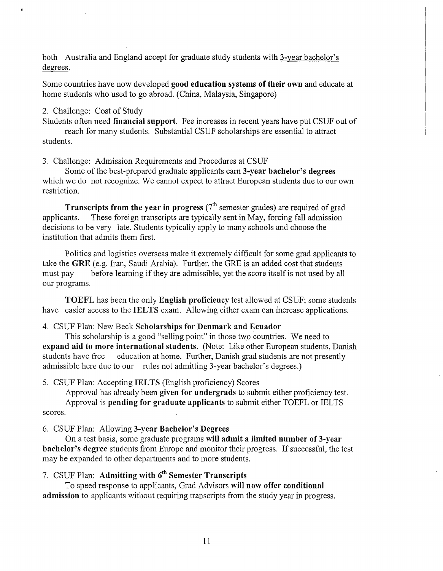both Australia and England accept for graduate study students with 3-year bachelor's degrees.

Some countries have now developed **good education systems of their own** and educate at horne students who used to go abroad. (China, Malaysia, Singapore)

### 2. Challenge: Cost of Study

 $\ddot{\phantom{a}}$ 

Students often need **financial support.** Fee increases in recent years have put CSUF out of reach for many students. Substantial CSUF scholarships are essential to attract students.

3. Challenge: Admission Requirements and Procedures at CSUF

Some ofthe best-prepared graduate applicants earn **3-year bachelor's degrees** which we do not recognize. We cannot expect to attract European students due to our own restriction.

**Transcripts from the year in progress** (7<sup>th</sup> semester grades) are required of grad applicants. These foreign transcripts are typically sent in May, forcing fall admission decisions to be very late. Students typically apply to many schools and choose the institution that admits them first.

Politics and logistics overseas make it extremely difficult for some grad applicants to take the **GRE** (e.g. Iran, Saudi Arabia). Further, the GRE is an added cost that students must pay before learning if they are admissible, yet the score itself is not used by all our programs.

**TOEFL** has been the only **English proficiency** test allowed at CSUF; some students have easier access to the **IELTS** exam. Allowing either exam can increase applications.

### 4. CSUF Plan: New Beck **Scholarships for Denmark and Ecuador**

This scholarship is a good "selling point" in those two countries. We need to **expand aid to more international students.** (Note: Like other European students, Danish students have free education at horne. Further, Danish grad students are not presently admissible here due to our rules not admitting 3-year bachelor's degrees.)

#### 5. CSlJF Plan: Accepting **IELTS** (English proficiency) Scores

Approval has already been **given for undergrads** to submit either proficiency test. Approval is **pending for graduate applicants** to submit either TOEFL or IELTS scores.

6. CSUF Plan: Allowing **3-year Bachelor's Degrees**

On a test basis, some graduate programs **will admit a limited number of 3-year bachelor's** degree students from Europe and monitor their progress. If successful, the test may be expanded to other departments and to more students.

## 7. CSUF Plan: **Admitting with** 6th **Semester Transcripts**

To speed response to applicants, Grad Advisors **will now offer conditional admission** to applicants without requiring transcripts from the study year in progress.